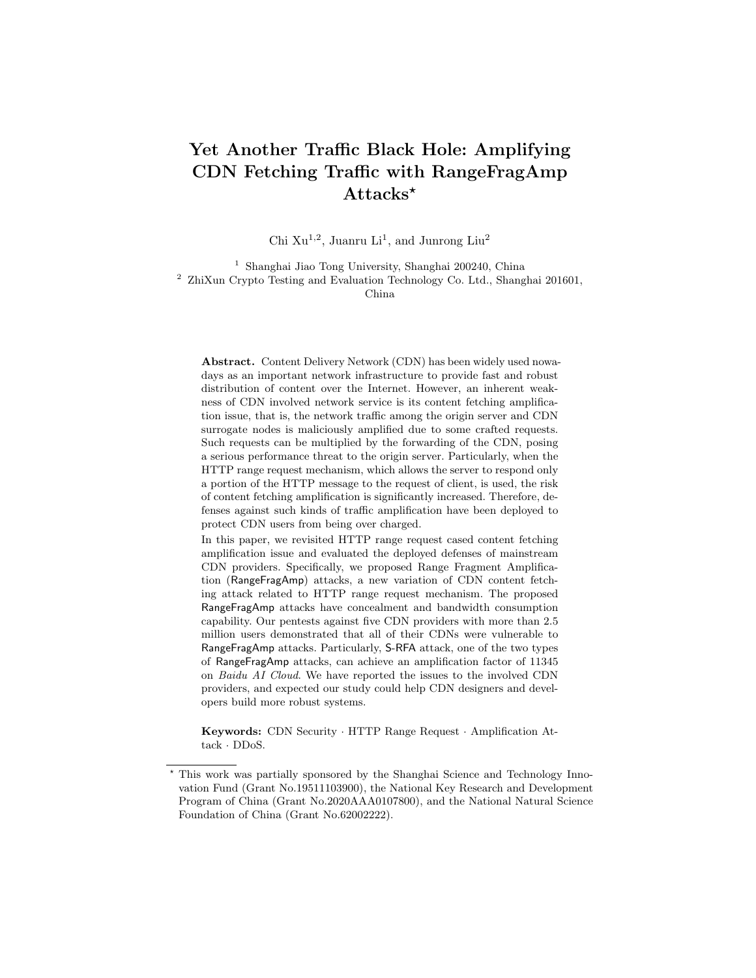# Yet Another Traffic Black Hole: Amplifying CDN Fetching Traffic with RangeFragAmp Attacks<sup>\*</sup>

Chi Xu<sup>1,2</sup>, Juanru Li<sup>1</sup>, and Junrong Liu<sup>2</sup>

<sup>1</sup> Shanghai Jiao Tong University, Shanghai 200240, China <sup>2</sup> ZhiXun Crypto Testing and Evaluation Technology Co. Ltd., Shanghai 201601, China

Abstract. Content Delivery Network (CDN) has been widely used nowadays as an important network infrastructure to provide fast and robust distribution of content over the Internet. However, an inherent weakness of CDN involved network service is its content fetching amplification issue, that is, the network traffic among the origin server and CDN surrogate nodes is maliciously amplified due to some crafted requests. Such requests can be multiplied by the forwarding of the CDN, posing a serious performance threat to the origin server. Particularly, when the HTTP range request mechanism, which allows the server to respond only a portion of the HTTP message to the request of client, is used, the risk of content fetching amplification is significantly increased. Therefore, defenses against such kinds of traffic amplification have been deployed to protect CDN users from being over charged.

In this paper, we revisited HTTP range request cased content fetching amplification issue and evaluated the deployed defenses of mainstream CDN providers. Specifically, we proposed Range Fragment Amplification (RangeFragAmp) attacks, a new variation of CDN content fetching attack related to HTTP range request mechanism. The proposed RangeFragAmp attacks have concealment and bandwidth consumption capability. Our pentests against five CDN providers with more than 2.5 million users demonstrated that all of their CDNs were vulnerable to RangeFragAmp attacks. Particularly, S-RFA attack, one of the two types of RangeFragAmp attacks, can achieve an amplification factor of 11345 on Baidu AI Cloud. We have reported the issues to the involved CDN providers, and expected our study could help CDN designers and developers build more robust systems.

Keywords: CDN Security · HTTP Range Request · Amplification Attack · DDoS.

<sup>?</sup> This work was partially sponsored by the Shanghai Science and Technology Innovation Fund (Grant No.19511103900), the National Key Research and Development Program of China (Grant No.2020AAA0107800), and the National Natural Science Foundation of China (Grant No.62002222).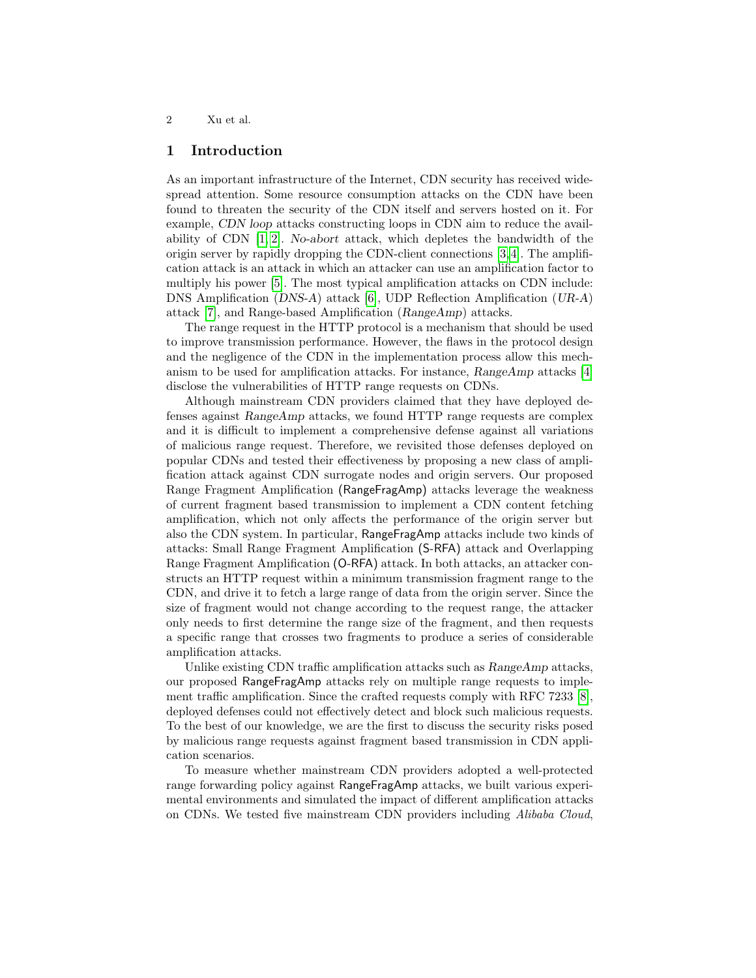## 1 Introduction

As an important infrastructure of the Internet, CDN security has received widespread attention. Some resource consumption attacks on the CDN have been found to threaten the security of the CDN itself and servers hosted on it. For example, CDN loop attacks constructing loops in CDN aim to reduce the availability of CDN [\[1,](#page-18-0) [2\]](#page-18-1). No-abort attack, which depletes the bandwidth of the origin server by rapidly dropping the CDN-client connections [\[3,](#page-18-2)[4\]](#page-18-3). The amplification attack is an attack in which an attacker can use an amplification factor to multiply his power [\[5\]](#page-18-4). The most typical amplification attacks on CDN include: DNS Amplification (DNS-A) attack [\[6\]](#page-18-5), UDP Reflection Amplification (UR-A) attack [\[7\]](#page-19-0), and Range-based Amplification (RangeAmp) attacks.

The range request in the HTTP protocol is a mechanism that should be used to improve transmission performance. However, the flaws in the protocol design and the negligence of the CDN in the implementation process allow this mechanism to be used for amplification attacks. For instance, RangeAmp attacks [\[4\]](#page-18-3) disclose the vulnerabilities of HTTP range requests on CDNs.

Although mainstream CDN providers claimed that they have deployed defenses against RangeAmp attacks, we found HTTP range requests are complex and it is difficult to implement a comprehensive defense against all variations of malicious range request. Therefore, we revisited those defenses deployed on popular CDNs and tested their effectiveness by proposing a new class of amplification attack against CDN surrogate nodes and origin servers. Our proposed Range Fragment Amplification (RangeFragAmp) attacks leverage the weakness of current fragment based transmission to implement a CDN content fetching amplification, which not only affects the performance of the origin server but also the CDN system. In particular, RangeFragAmp attacks include two kinds of attacks: Small Range Fragment Amplification (S-RFA) attack and Overlapping Range Fragment Amplification (O-RFA) attack. In both attacks, an attacker constructs an HTTP request within a minimum transmission fragment range to the CDN, and drive it to fetch a large range of data from the origin server. Since the size of fragment would not change according to the request range, the attacker only needs to first determine the range size of the fragment, and then requests a specific range that crosses two fragments to produce a series of considerable amplification attacks.

Unlike existing CDN traffic amplification attacks such as RangeAmp attacks, our proposed RangeFragAmp attacks rely on multiple range requests to implement traffic amplification. Since the crafted requests comply with RFC 7233 [\[8\]](#page-19-1), deployed defenses could not effectively detect and block such malicious requests. To the best of our knowledge, we are the first to discuss the security risks posed by malicious range requests against fragment based transmission in CDN application scenarios.

To measure whether mainstream CDN providers adopted a well-protected range forwarding policy against RangeFragAmp attacks, we built various experimental environments and simulated the impact of different amplification attacks on CDNs. We tested five mainstream CDN providers including Alibaba Cloud,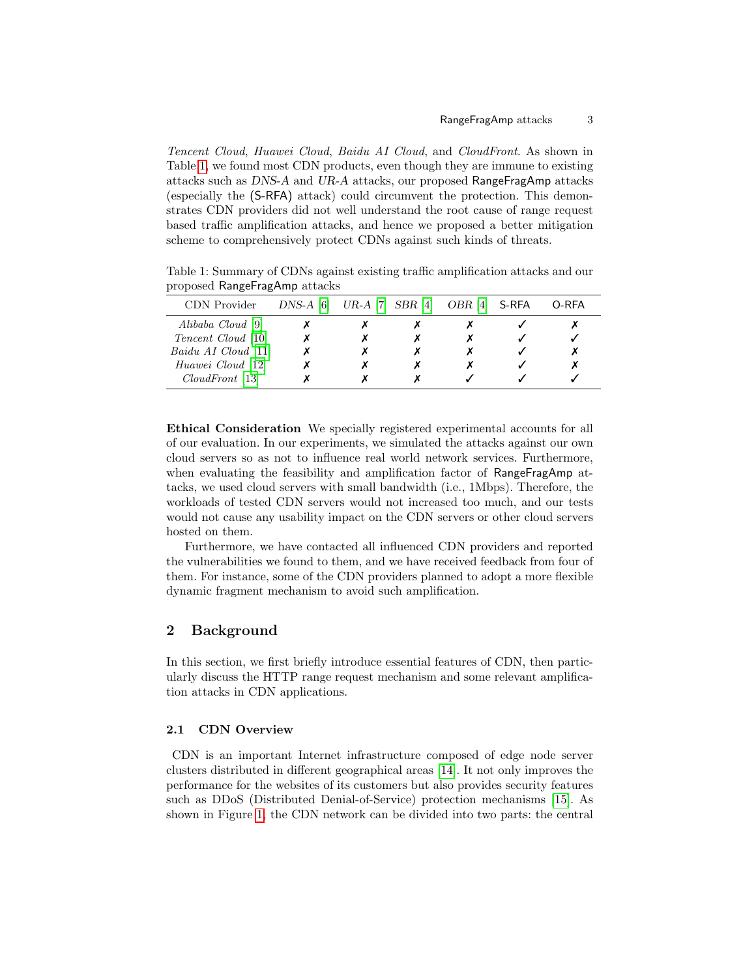Tencent Cloud, Huawei Cloud, Baidu AI Cloud, and CloudFront. As shown in Table [1,](#page-2-0) we found most CDN products, even though they are immune to existing attacks such as DNS-A and UR-A attacks, our proposed RangeFragAmp attacks (especially the (S-RFA) attack) could circumvent the protection. This demonstrates CDN providers did not well understand the root cause of range request based traffic amplification attacks, and hence we proposed a better mitigation scheme to comprehensively protect CDNs against such kinds of threats.

<span id="page-2-0"></span>Table 1: Summary of CDNs against existing traffic amplification attacks and our proposed RangeFragAmp attacks

| CDN Provider         | $DNS-A$ [6] | UR-A $[7]$ SBR $[4]$ | <i>OBR</i> [4] <b>S-RFA</b> | O-RFA |
|----------------------|-------------|----------------------|-----------------------------|-------|
| Alibaba Cloud [9]    |             |                      |                             |       |
| Tencent Cloud [10]   |             |                      |                             |       |
| Baidu AI Cloud [11]  |             |                      |                             |       |
| Huawei Cloud [12]    |             |                      |                             |       |
| $CloudFront \; [13]$ |             |                      |                             |       |

Ethical Consideration We specially registered experimental accounts for all of our evaluation. In our experiments, we simulated the attacks against our own cloud servers so as not to influence real world network services. Furthermore, when evaluating the feasibility and amplification factor of RangeFragAmp attacks, we used cloud servers with small bandwidth (i.e., 1Mbps). Therefore, the workloads of tested CDN servers would not increased too much, and our tests would not cause any usability impact on the CDN servers or other cloud servers hosted on them.

Furthermore, we have contacted all influenced CDN providers and reported the vulnerabilities we found to them, and we have received feedback from four of them. For instance, some of the CDN providers planned to adopt a more flexible dynamic fragment mechanism to avoid such amplification.

# 2 Background

In this section, we first briefly introduce essential features of CDN, then particularly discuss the HTTP range request mechanism and some relevant amplification attacks in CDN applications.

#### 2.1 CDN Overview

CDN is an important Internet infrastructure composed of edge node server clusters distributed in different geographical areas [\[14\]](#page-19-7). It not only improves the performance for the websites of its customers but also provides security features such as DDoS (Distributed Denial-of-Service) protection mechanisms [\[15\]](#page-19-8). As shown in Figure [1,](#page-3-0) the CDN network can be divided into two parts: the central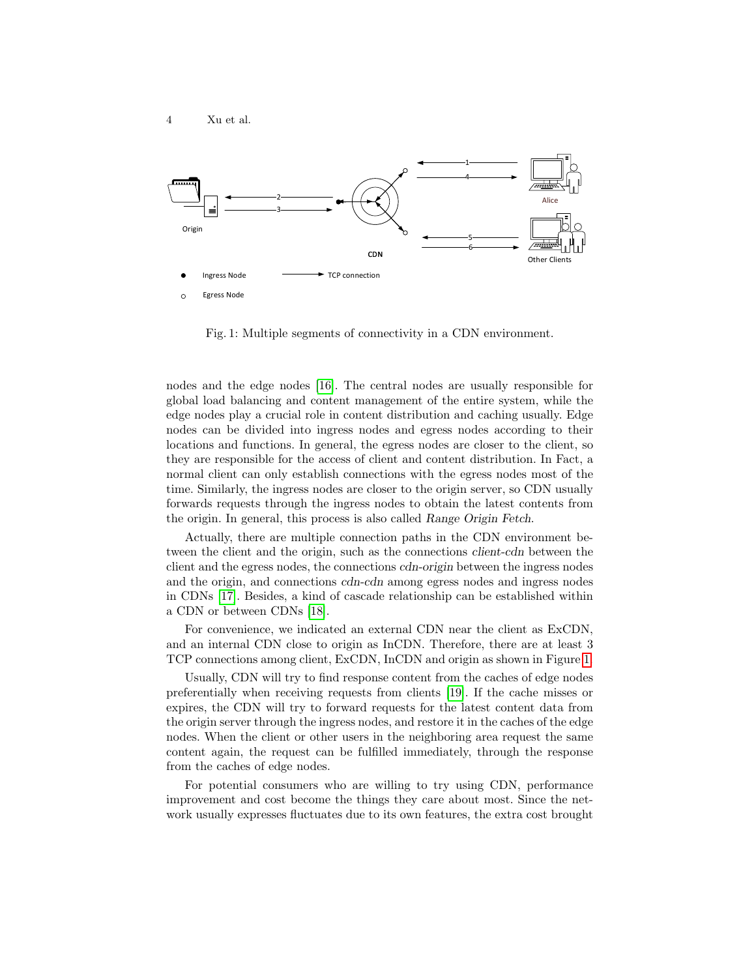<span id="page-3-0"></span>

Fig. 1: Multiple segments of connectivity in a CDN environment.

nodes and the edge nodes [\[16\]](#page-19-9). The central nodes are usually responsible for global load balancing and content management of the entire system, while the edge nodes play a crucial role in content distribution and caching usually. Edge nodes can be divided into ingress nodes and egress nodes according to their locations and functions. In general, the egress nodes are closer to the client, so they are responsible for the access of client and content distribution. In Fact, a normal client can only establish connections with the egress nodes most of the time. Similarly, the ingress nodes are closer to the origin server, so CDN usually forwards requests through the ingress nodes to obtain the latest contents from the origin. In general, this process is also called Range Origin Fetch.

Actually, there are multiple connection paths in the CDN environment between the client and the origin, such as the connections client-cdn between the client and the egress nodes, the connections cdn-origin between the ingress nodes and the origin, and connections cdn-cdn among egress nodes and ingress nodes in CDNs [\[17\]](#page-19-10). Besides, a kind of cascade relationship can be established within a CDN or between CDNs [\[18\]](#page-19-11).

For convenience, we indicated an external CDN near the client as ExCDN, and an internal CDN close to origin as InCDN. Therefore, there are at least 3 TCP connections among client, ExCDN, InCDN and origin as shown in Figure [1.](#page-3-0)

Usually, CDN will try to find response content from the caches of edge nodes preferentially when receiving requests from clients [\[19\]](#page-19-12). If the cache misses or expires, the CDN will try to forward requests for the latest content data from the origin server through the ingress nodes, and restore it in the caches of the edge nodes. When the client or other users in the neighboring area request the same content again, the request can be fulfilled immediately, through the response from the caches of edge nodes.

For potential consumers who are willing to try using CDN, performance improvement and cost become the things they care about most. Since the network usually expresses fluctuates due to its own features, the extra cost brought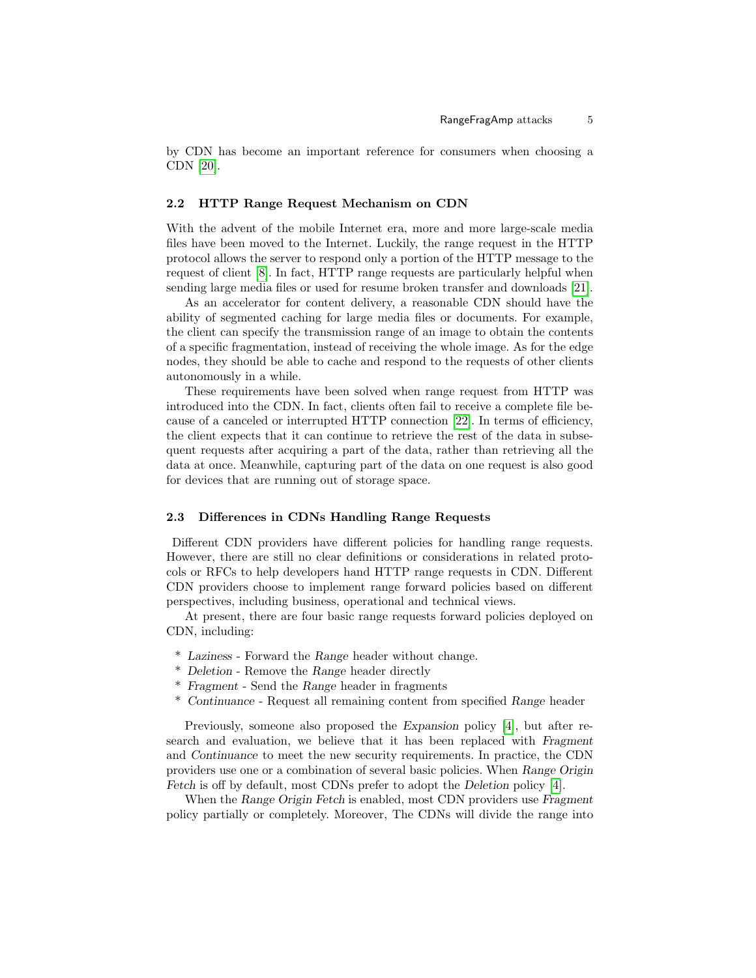by CDN has become an important reference for consumers when choosing a CDN [\[20\]](#page-19-13).

#### 2.2 HTTP Range Request Mechanism on CDN

With the advent of the mobile Internet era, more and more large-scale media files have been moved to the Internet. Luckily, the range request in the HTTP protocol allows the server to respond only a portion of the HTTP message to the request of client [\[8\]](#page-19-1). In fact, HTTP range requests are particularly helpful when sending large media files or used for resume broken transfer and downloads [\[21\]](#page-19-14).

As an accelerator for content delivery, a reasonable CDN should have the ability of segmented caching for large media files or documents. For example, the client can specify the transmission range of an image to obtain the contents of a specific fragmentation, instead of receiving the whole image. As for the edge nodes, they should be able to cache and respond to the requests of other clients autonomously in a while.

These requirements have been solved when range request from HTTP was introduced into the CDN. In fact, clients often fail to receive a complete file because of a canceled or interrupted HTTP connection [\[22\]](#page-19-15). In terms of efficiency, the client expects that it can continue to retrieve the rest of the data in subsequent requests after acquiring a part of the data, rather than retrieving all the data at once. Meanwhile, capturing part of the data on one request is also good for devices that are running out of storage space.

#### 2.3 Differences in CDNs Handling Range Requests

Different CDN providers have different policies for handling range requests. However, there are still no clear definitions or considerations in related protocols or RFCs to help developers hand HTTP range requests in CDN. Different CDN providers choose to implement range forward policies based on different perspectives, including business, operational and technical views.

At present, there are four basic range requests forward policies deployed on CDN, including:

- \* Laziness Forward the Range header without change.
- \* Deletion Remove the Range header directly
- \* Fragment Send the Range header in fragments
- \* Continuance Request all remaining content from specified Range header

Previously, someone also proposed the Expansion policy [\[4\]](#page-18-3), but after research and evaluation, we believe that it has been replaced with Fragment and Continuance to meet the new security requirements. In practice, the CDN providers use one or a combination of several basic policies. When Range Origin Fetch is off by default, most CDNs prefer to adopt the Deletion policy [\[4\]](#page-18-3).

When the Range Origin Fetch is enabled, most CDN providers use Fragment policy partially or completely. Moreover, The CDNs will divide the range into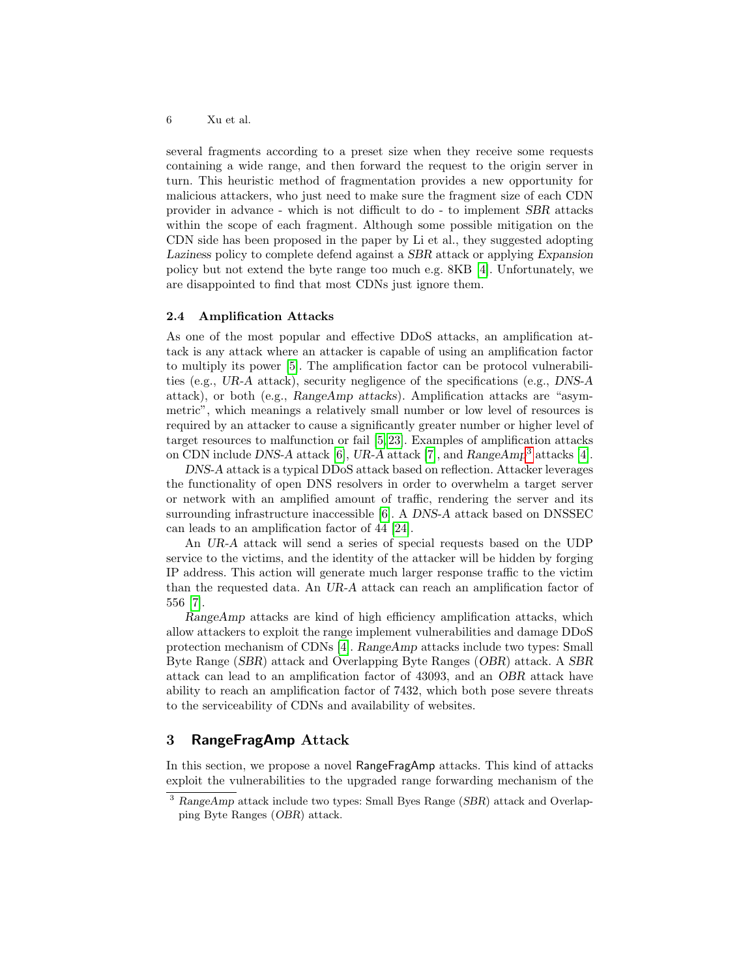several fragments according to a preset size when they receive some requests containing a wide range, and then forward the request to the origin server in turn. This heuristic method of fragmentation provides a new opportunity for malicious attackers, who just need to make sure the fragment size of each CDN provider in advance - which is not difficult to do - to implement SBR attacks within the scope of each fragment. Although some possible mitigation on the CDN side has been proposed in the paper by Li et al., they suggested adopting Laziness policy to complete defend against a SBR attack or applying Expansion policy but not extend the byte range too much e.g. 8KB [\[4\]](#page-18-3). Unfortunately, we are disappointed to find that most CDNs just ignore them.

#### 2.4 Amplification Attacks

As one of the most popular and effective DDoS attacks, an amplification attack is any attack where an attacker is capable of using an amplification factor to multiply its power [\[5\]](#page-18-4). The amplification factor can be protocol vulnerabilities (e.g., UR-A attack), security negligence of the specifications (e.g., DNS-A attack), or both (e.g., RangeAmp attacks). Amplification attacks are "asymmetric", which meanings a relatively small number or low level of resources is required by an attacker to cause a significantly greater number or higher level of target resources to malfunction or fail [\[5,](#page-18-4) [23\]](#page-19-16). Examples of amplification attacks on CDN include DNS-A attack [\[6\]](#page-18-5), UR-A attack [\[7\]](#page-19-0), and  $RangeAmp<sup>3</sup>$  $RangeAmp<sup>3</sup>$  $RangeAmp<sup>3</sup>$  attacks [\[4\]](#page-18-3).

DNS-A attack is a typical DDoS attack based on reflection. Attacker leverages the functionality of open DNS resolvers in order to overwhelm a target server or network with an amplified amount of traffic, rendering the server and its surrounding infrastructure inaccessible [\[6\]](#page-18-5). A DNS-A attack based on DNSSEC can leads to an amplification factor of 44 [\[24\]](#page-19-17).

An UR-A attack will send a series of special requests based on the UDP service to the victims, and the identity of the attacker will be hidden by forging IP address. This action will generate much larger response traffic to the victim than the requested data. An UR-A attack can reach an amplification factor of 556 [\[7\]](#page-19-0).

RangeAmp attacks are kind of high efficiency amplification attacks, which allow attackers to exploit the range implement vulnerabilities and damage DDoS protection mechanism of CDNs [\[4\]](#page-18-3). RangeAmp attacks include two types: Small Byte Range (SBR) attack and Overlapping Byte Ranges (OBR) attack. A SBR attack can lead to an amplification factor of 43093, and an OBR attack have ability to reach an amplification factor of 7432, which both pose severe threats to the serviceability of CDNs and availability of websites.

# 3 RangeFragAmp Attack

In this section, we propose a novel RangeFragAmp attacks. This kind of attacks exploit the vulnerabilities to the upgraded range forwarding mechanism of the

<span id="page-5-0"></span><sup>&</sup>lt;sup>3</sup> RangeAmp attack include two types: Small Byes Range (SBR) attack and Overlapping Byte Ranges (OBR) attack.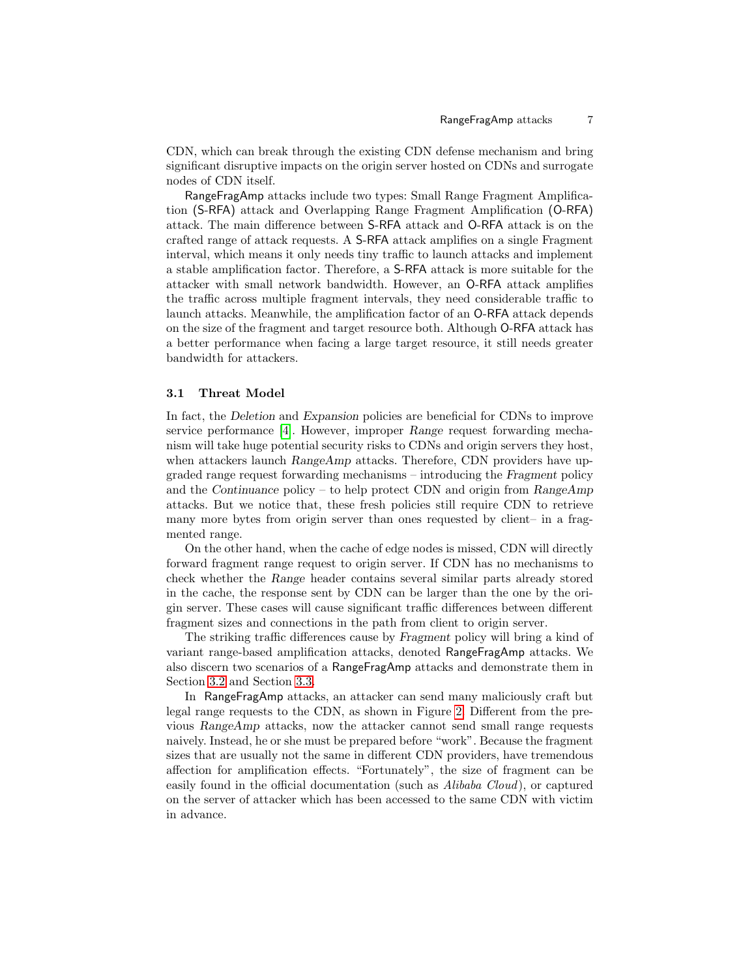CDN, which can break through the existing CDN defense mechanism and bring significant disruptive impacts on the origin server hosted on CDNs and surrogate nodes of CDN itself.

RangeFragAmp attacks include two types: Small Range Fragment Amplification (S-RFA) attack and Overlapping Range Fragment Amplification (O-RFA) attack. The main difference between S-RFA attack and O-RFA attack is on the crafted range of attack requests. A S-RFA attack amplifies on a single Fragment interval, which means it only needs tiny traffic to launch attacks and implement a stable amplification factor. Therefore, a S-RFA attack is more suitable for the attacker with small network bandwidth. However, an O-RFA attack amplifies the traffic across multiple fragment intervals, they need considerable traffic to launch attacks. Meanwhile, the amplification factor of an O-RFA attack depends on the size of the fragment and target resource both. Although O-RFA attack has a better performance when facing a large target resource, it still needs greater bandwidth for attackers.

#### 3.1 Threat Model

In fact, the Deletion and Expansion policies are beneficial for CDNs to improve service performance [\[4\]](#page-18-3). However, improper Range request forwarding mechanism will take huge potential security risks to CDNs and origin servers they host, when attackers launch RangeAmp attacks. Therefore, CDN providers have upgraded range request forwarding mechanisms – introducing the Fragment policy and the Continuance policy – to help protect CDN and origin from RangeAmp attacks. But we notice that, these fresh policies still require CDN to retrieve many more bytes from origin server than ones requested by client– in a fragmented range.

On the other hand, when the cache of edge nodes is missed, CDN will directly forward fragment range request to origin server. If CDN has no mechanisms to check whether the Range header contains several similar parts already stored in the cache, the response sent by CDN can be larger than the one by the origin server. These cases will cause significant traffic differences between different fragment sizes and connections in the path from client to origin server.

The striking traffic differences cause by Fragment policy will bring a kind of variant range-based amplification attacks, denoted RangeFragAmp attacks. We also discern two scenarios of a RangeFragAmp attacks and demonstrate them in Section [3.2](#page-7-0) and Section [3.3.](#page-8-0)

In RangeFragAmp attacks, an attacker can send many maliciously craft but legal range requests to the CDN, as shown in Figure [2.](#page-7-1) Different from the previous RangeAmp attacks, now the attacker cannot send small range requests naively. Instead, he or she must be prepared before "work". Because the fragment sizes that are usually not the same in different CDN providers, have tremendous affection for amplification effects. "Fortunately", the size of fragment can be easily found in the official documentation (such as Alibaba Cloud), or captured on the server of attacker which has been accessed to the same CDN with victim in advance.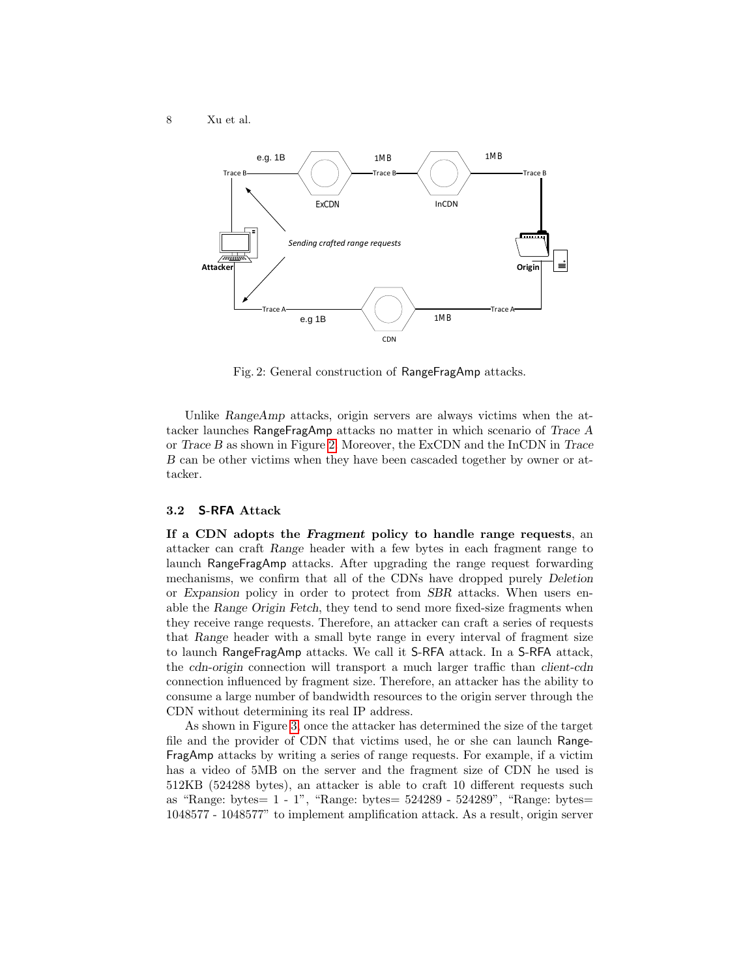8 Xu et al.

<span id="page-7-1"></span>

Fig. 2: General construction of RangeFragAmp attacks.

Unlike RangeAmp attacks, origin servers are always victims when the attacker launches RangeFragAmp attacks no matter in which scenario of Trace A or Trace B as shown in Figure [2.](#page-7-1) Moreover, the ExCDN and the InCDN in Trace B can be other victims when they have been cascaded together by owner or attacker.

#### <span id="page-7-0"></span>3.2 S-RFA Attack

If a CDN adopts the Fragment policy to handle range requests, an attacker can craft Range header with a few bytes in each fragment range to launch RangeFragAmp attacks. After upgrading the range request forwarding mechanisms, we confirm that all of the CDNs have dropped purely Deletion or Expansion policy in order to protect from SBR attacks. When users enable the Range Origin Fetch, they tend to send more fixed-size fragments when they receive range requests. Therefore, an attacker can craft a series of requests that Range header with a small byte range in every interval of fragment size to launch RangeFragAmp attacks. We call it S-RFA attack. In a S-RFA attack, the cdn-origin connection will transport a much larger traffic than client-cdn connection influenced by fragment size. Therefore, an attacker has the ability to consume a large number of bandwidth resources to the origin server through the CDN without determining its real IP address.

As shown in Figure [3,](#page-8-1) once the attacker has determined the size of the target file and the provider of CDN that victims used, he or she can launch Range-FragAmp attacks by writing a series of range requests. For example, if a victim has a video of 5MB on the server and the fragment size of CDN he used is 512KB (524288 bytes), an attacker is able to craft 10 different requests such as "Range: bytes= 1 - 1", "Range: bytes= 524289 - 524289", "Range: bytes= 1048577 - 1048577" to implement amplification attack. As a result, origin server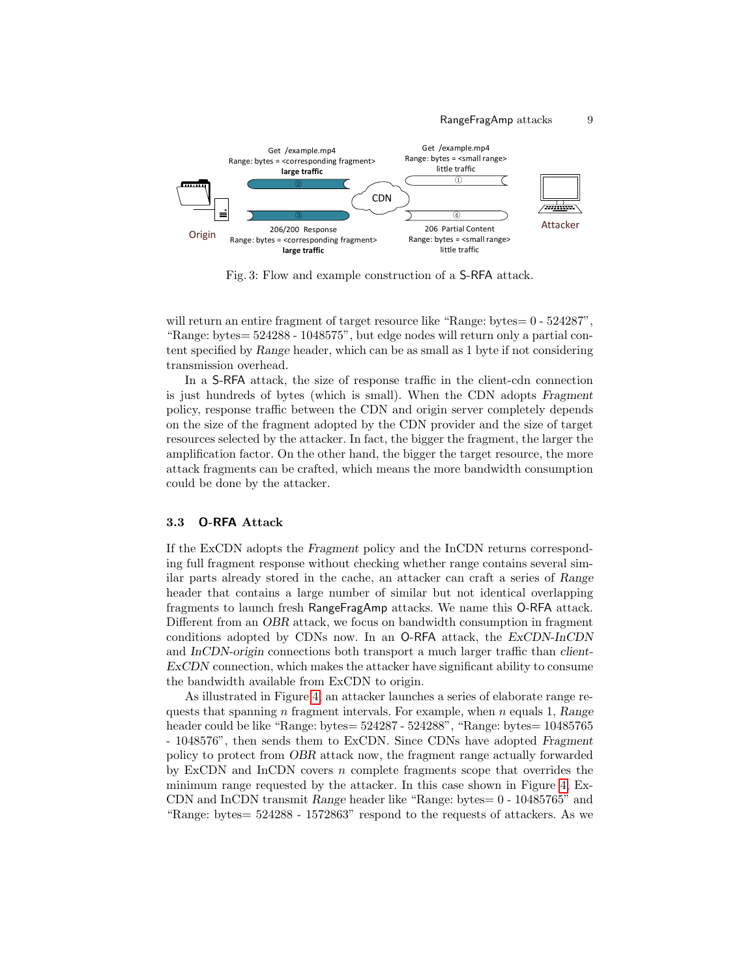<span id="page-8-1"></span>

Fig. 3: Flow and example construction of a S-RFA attack.

will return an entire fragment of target resource like "Range: bytes=  $0 - 524287$ ", "Range: bytes= 524288 - 1048575", but edge nodes will return only a partial content specified by Range header, which can be as small as 1 byte if not considering transmission overhead.

In a S-RFA attack, the size of response traffic in the client-cdn connection is just hundreds of bytes (which is small). When the CDN adopts Fragment policy, response traffic between the CDN and origin server completely depends on the size of the fragment adopted by the CDN provider and the size of target resources selected by the attacker. In fact, the bigger the fragment, the larger the amplification factor. On the other hand, the bigger the target resource, the more attack fragments can be crafted, which means the more bandwidth consumption could be done by the attacker.

## <span id="page-8-0"></span>3.3 O-RFA Attack

If the ExCDN adopts the Fragment policy and the InCDN returns corresponding full fragment response without checking whether range contains several similar parts already stored in the cache, an attacker can craft a series of Range header that contains a large number of similar but not identical overlapping fragments to launch fresh RangeFragAmp attacks. We name this O-RFA attack. Different from an OBR attack, we focus on bandwidth consumption in fragment conditions adopted by CDNs now. In an O-RFA attack, the ExCDN-InCDN and InCDN-origin connections both transport a much larger traffic than client-ExCDN connection, which makes the attacker have significant ability to consume the bandwidth available from ExCDN to origin.

As illustrated in Figure [4,](#page-9-0) an attacker launches a series of elaborate range requests that spanning n fragment intervals. For example, when n equals 1, Range header could be like "Range: bytes= 524287 - 524288", "Range: bytes= 10485765 - 1048576", then sends them to ExCDN. Since CDNs have adopted Fragment policy to protect from OBR attack now, the fragment range actually forwarded by ExCDN and InCDN covers  $n$  complete fragments scope that overrides the minimum range requested by the attacker. In this case shown in Figure [4,](#page-9-0) Ex-CDN and InCDN transmit Range header like "Range: bytes= 0 - 10485765" and "Range: bytes= 524288 - 1572863" respond to the requests of attackers. As we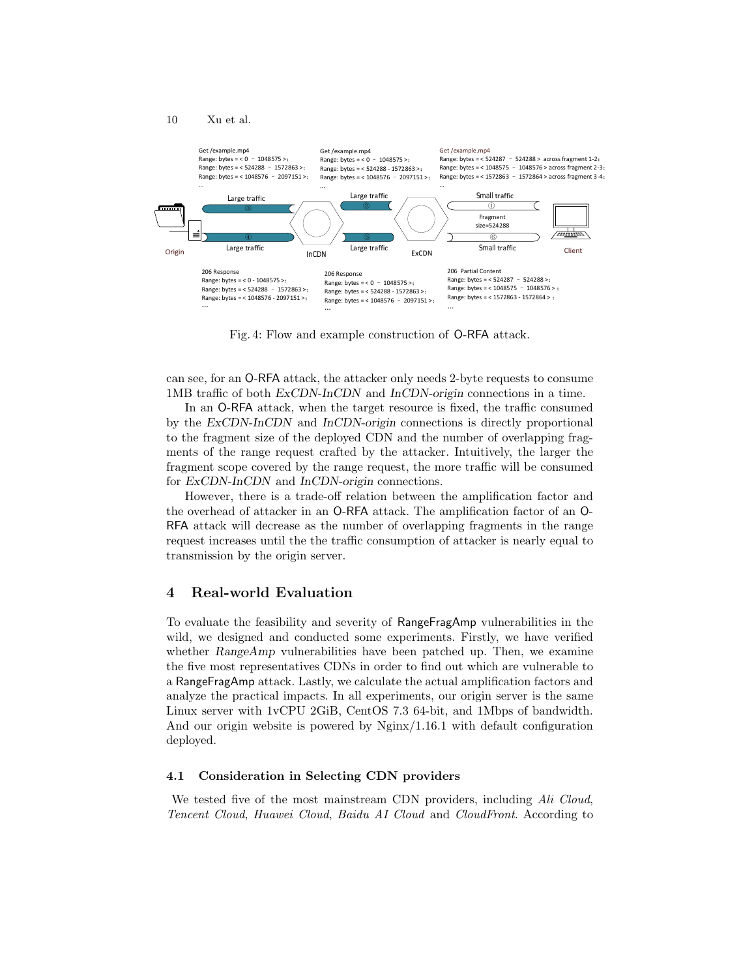<span id="page-9-0"></span>

Fig. 4: Flow and example construction of O-RFA attack.

can see, for an O-RFA attack, the attacker only needs 2-byte requests to consume 1MB traffic of both ExCDN-InCDN and InCDN-origin connections in a time.

In an O-RFA attack, when the target resource is fixed, the traffic consumed by the ExCDN-InCDN and InCDN-origin connections is directly proportional to the fragment size of the deployed CDN and the number of overlapping fragments of the range request crafted by the attacker. Intuitively, the larger the fragment scope covered by the range request, the more traffic will be consumed for ExCDN-InCDN and InCDN-origin connections.

However, there is a trade-off relation between the amplification factor and the overhead of attacker in an O-RFA attack. The amplification factor of an O-RFA attack will decrease as the number of overlapping fragments in the range request increases until the the traffic consumption of attacker is nearly equal to transmission by the origin server.

## 4 Real-world Evaluation

To evaluate the feasibility and severity of RangeFragAmp vulnerabilities in the wild, we designed and conducted some experiments. Firstly, we have verified whether RangeAmp vulnerabilities have been patched up. Then, we examine the five most representatives CDNs in order to find out which are vulnerable to a RangeFragAmp attack. Lastly, we calculate the actual amplification factors and analyze the practical impacts. In all experiments, our origin server is the same Linux server with 1vCPU 2GiB, CentOS 7.3 64-bit, and 1Mbps of bandwidth. And our origin website is powered by Nginx/1.16.1 with default configuration deployed.

#### 4.1 Consideration in Selecting CDN providers

We tested five of the most mainstream CDN providers, including Ali Cloud, Tencent Cloud, Huawei Cloud, Baidu AI Cloud and CloudFront. According to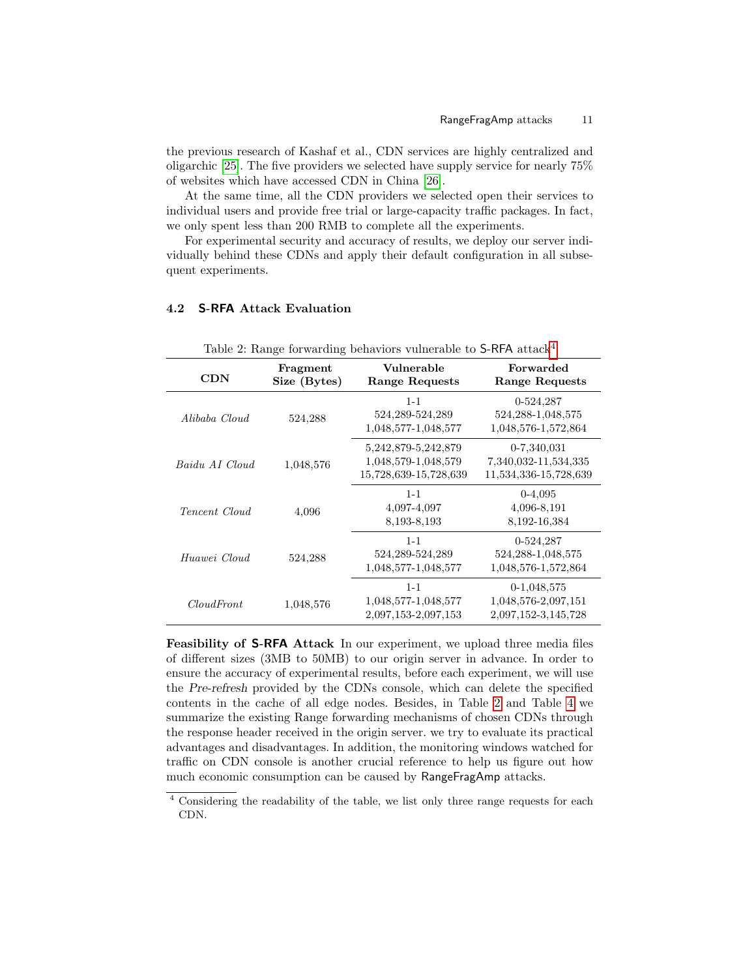the previous research of Kashaf et al., CDN services are highly centralized and oligarchic [\[25\]](#page-19-18). The five providers we selected have supply service for nearly 75% of websites which have accessed CDN in China [\[26\]](#page-20-0).

At the same time, all the CDN providers we selected open their services to individual users and provide free trial or large-capacity traffic packages. In fact, we only spent less than 200 RMB to complete all the experiments.

For experimental security and accuracy of results, we deploy our server individually behind these CDNs and apply their default configuration in all subsequent experiments.

<span id="page-10-1"></span>

| Table 2: Range forwarding behaviors vulnerable to $S$ -RFA attack <sup>4</sup> |                          |                                                                     |                                                              |  |
|--------------------------------------------------------------------------------|--------------------------|---------------------------------------------------------------------|--------------------------------------------------------------|--|
| <b>CDN</b>                                                                     | Fragment<br>Size (Bytes) | Vulnerable<br><b>Range Requests</b>                                 | Forwarded<br><b>Range Requests</b>                           |  |
| Alibaba Cloud                                                                  | 524,288                  | $1 - 1$<br>524, 289 - 524, 289<br>1,048,577-1,048,577               | 0-524,287<br>524, 288-1, 048, 575<br>1,048,576-1,572,864     |  |
| Baidu AI Cloud                                                                 | 1,048,576                | 5,242,879-5,242,879<br>1,048,579-1,048,579<br>15,728,639-15,728,639 | 0-7,340,031<br>7,340,032-11,534,335<br>11,534,336-15,728,639 |  |
| Tencent Cloud                                                                  | 4,096                    | $1 - 1$<br>4,097-4,097<br>8,193-8,193                               | $0-4.095$<br>4,096-8,191<br>8,192-16,384                     |  |
| Huawei Cloud                                                                   | 524,288                  | $1 - 1$<br>524, 289-524, 289<br>1,048,577-1,048,577                 | 0-524,287<br>524, 288-1, 048, 575<br>1,048,576-1,572,864     |  |
| CloudFront                                                                     | 1,048,576                | $1 - 1$<br>1,048,577-1,048,577<br>2,097,153-2,097,153               | $0-1,048,575$<br>1,048,576-2,097,151<br>2,097,152-3,145,728  |  |

## 4.2 S-RFA Attack Evaluation

Feasibility of S-RFA Attack In our experiment, we upload three media files of different sizes (3MB to 50MB) to our origin server in advance. In order to ensure the accuracy of experimental results, before each experiment, we will use the Pre-refresh provided by the CDNs console, which can delete the specified contents in the cache of all edge nodes. Besides, in Table [2](#page-10-1) and Table [4](#page-13-0) we summarize the existing Range forwarding mechanisms of chosen CDNs through the response header received in the origin server. we try to evaluate its practical advantages and disadvantages. In addition, the monitoring windows watched for traffic on CDN console is another crucial reference to help us figure out how much economic consumption can be caused by RangeFragAmp attacks.

<span id="page-10-0"></span><sup>&</sup>lt;sup>4</sup> Considering the readability of the table, we list only three range requests for each CDN.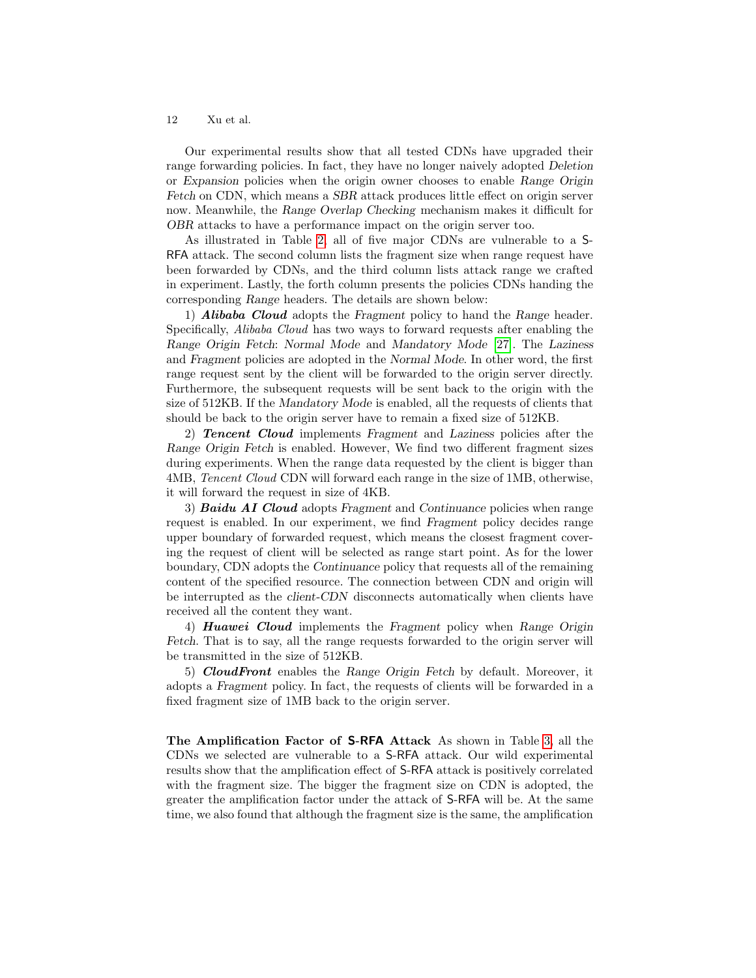Our experimental results show that all tested CDNs have upgraded their range forwarding policies. In fact, they have no longer naively adopted Deletion or Expansion policies when the origin owner chooses to enable Range Origin Fetch on CDN, which means a SBR attack produces little effect on origin server now. Meanwhile, the Range Overlap Checking mechanism makes it difficult for OBR attacks to have a performance impact on the origin server too.

As illustrated in Table [2,](#page-10-1) all of five major CDNs are vulnerable to a S-RFA attack. The second column lists the fragment size when range request have been forwarded by CDNs, and the third column lists attack range we crafted in experiment. Lastly, the forth column presents the policies CDNs handing the corresponding Range headers. The details are shown below:

1) **Alibaba Cloud** adopts the Fragment policy to hand the Range header. Specifically, Alibaba Cloud has two ways to forward requests after enabling the Range Origin Fetch: Normal Mode and Mandatory Mode [\[27\]](#page-20-1). The Laziness and Fragment policies are adopted in the Normal Mode. In other word, the first range request sent by the client will be forwarded to the origin server directly. Furthermore, the subsequent requests will be sent back to the origin with the size of 512KB. If the Mandatory Mode is enabled, all the requests of clients that should be back to the origin server have to remain a fixed size of 512KB.

2) **Tencent Cloud** implements Fragment and Laziness policies after the Range Origin Fetch is enabled. However, We find two different fragment sizes during experiments. When the range data requested by the client is bigger than 4MB, Tencent Cloud CDN will forward each range in the size of 1MB, otherwise, it will forward the request in size of 4KB.

3) **Baidu AI Cloud** adopts Fragment and Continuance policies when range request is enabled. In our experiment, we find Fragment policy decides range upper boundary of forwarded request, which means the closest fragment covering the request of client will be selected as range start point. As for the lower boundary, CDN adopts the Continuance policy that requests all of the remaining content of the specified resource. The connection between CDN and origin will be interrupted as the client-CDN disconnects automatically when clients have received all the content they want.

4) Huawei Cloud implements the Fragment policy when Range Origin Fetch. That is to say, all the range requests forwarded to the origin server will be transmitted in the size of 512KB.

5) CloudFront enables the Range Origin Fetch by default. Moreover, it adopts a Fragment policy. In fact, the requests of clients will be forwarded in a fixed fragment size of 1MB back to the origin server.

The Amplification Factor of S-RFA Attack As shown in Table [3,](#page-12-0) all the CDNs we selected are vulnerable to a S-RFA attack. Our wild experimental results show that the amplification effect of S-RFA attack is positively correlated with the fragment size. The bigger the fragment size on CDN is adopted, the greater the amplification factor under the attack of S-RFA will be. At the same time, we also found that although the fragment size is the same, the amplification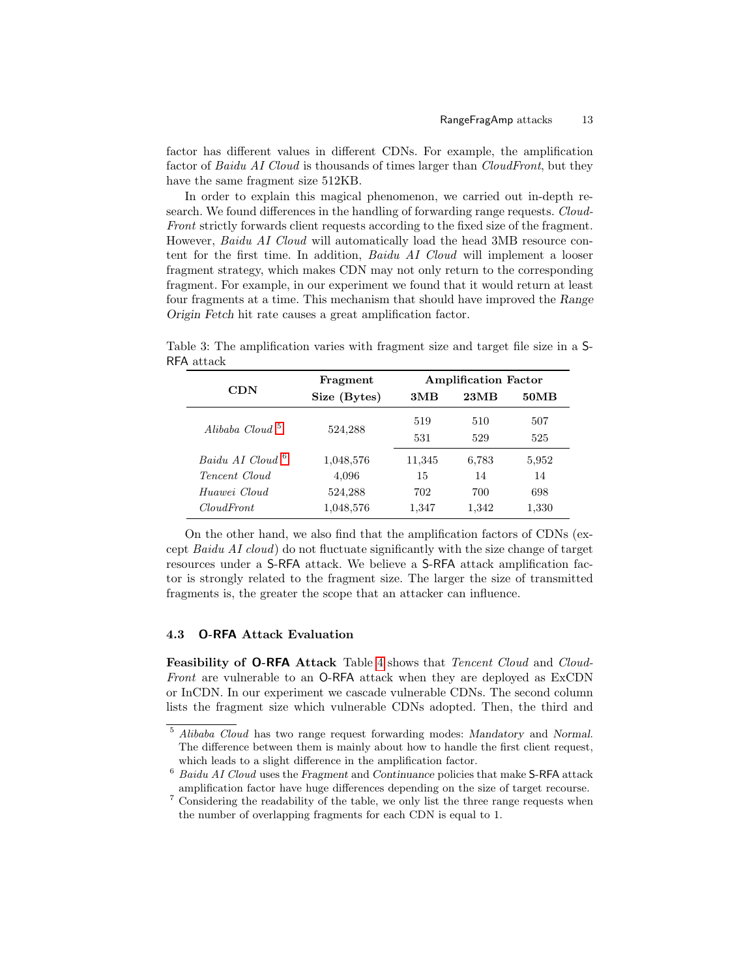factor has different values in different CDNs. For example, the amplification factor of Baidu AI Cloud is thousands of times larger than CloudFront, but they have the same fragment size 512KB.

In order to explain this magical phenomenon, we carried out in-depth research. We found differences in the handling of forwarding range requests. Cloud-Front strictly forwards client requests according to the fixed size of the fragment. However, *Baidu AI Cloud* will automatically load the head 3MB resource content for the first time. In addition, Baidu AI Cloud will implement a looser fragment strategy, which makes CDN may not only return to the corresponding fragment. For example, in our experiment we found that it would return at least four fragments at a time. This mechanism that should have improved the Range Origin Fetch hit rate causes a great amplification factor.

|                             | Fragment     | <b>Amplification Factor</b> |       |       |
|-----------------------------|--------------|-----------------------------|-------|-------|
| <b>CDN</b>                  | Size (Bytes) | 3MB                         | 23MB  | 50MB  |
| Alibaba Cloud <sup>5</sup>  |              | 519                         | 510   | 507   |
|                             | 524,288      | 531                         | 529   | 525   |
| Baidu AI Cloud <sup>6</sup> | 1,048,576    | 11,345                      | 6,783 | 5,952 |
| Tencent Cloud               | 4,096        | 15                          | 14    | 14    |
| Huawei Cloud                | 524,288      | 702                         | 700   | 698   |
| CloudFront                  | 1,048,576    | 1,347                       | 1,342 | 1,330 |

<span id="page-12-0"></span>Table 3: The amplification varies with fragment size and target file size in a S-RFA attack

On the other hand, we also find that the amplification factors of CDNs (except Baidu AI cloud) do not fluctuate significantly with the size change of target resources under a S-RFA attack. We believe a S-RFA attack amplification factor is strongly related to the fragment size. The larger the size of transmitted fragments is, the greater the scope that an attacker can influence.

## 4.3 O-RFA Attack Evaluation

Feasibility of O-RFA Attack Table [4](#page-13-0) shows that Tencent Cloud and Cloud-Front are vulnerable to an O-RFA attack when they are deployed as ExCDN or InCDN. In our experiment we cascade vulnerable CDNs. The second column lists the fragment size which vulnerable CDNs adopted. Then, the third and

<span id="page-12-1"></span><sup>5</sup> Alibaba Cloud has two range request forwarding modes: Mandatory and Normal. The difference between them is mainly about how to handle the first client request, which leads to a slight difference in the amplification factor.

<span id="page-12-2"></span> $^6\,$  Baidu AI Cloud uses the Fragment and Continuance policies that make <code>S-RFA</code> attack amplification factor have huge differences depending on the size of target recourse.

<span id="page-12-3"></span> $7^{\circ}$  Considering the readability of the table, we only list the three range requests when the number of overlapping fragments for each CDN is equal to 1.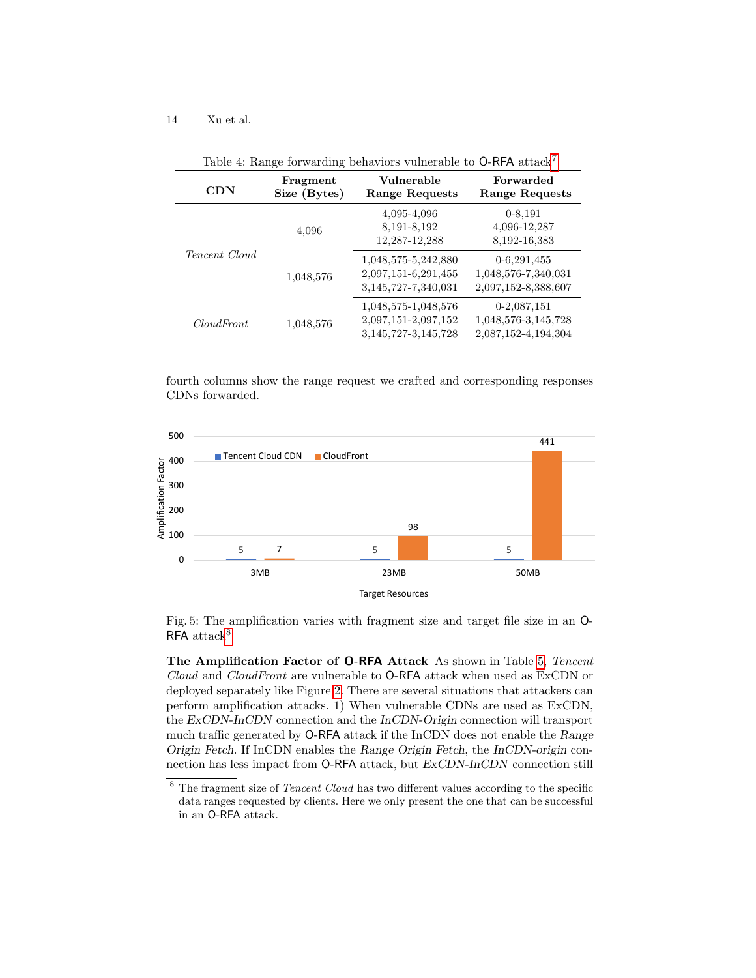<span id="page-13-0"></span>

| <b>CDN</b>    | Fragment<br>Size (Bytes) | Vulnerable<br><b>Range Requests</b>                                   | Forwarded<br><b>Range Requests</b>                          |
|---------------|--------------------------|-----------------------------------------------------------------------|-------------------------------------------------------------|
| Tencent Cloud | 4,096                    | 4,095-4,096<br>8,191-8,192<br>12,287-12,288                           | $0-8,191$<br>4,096-12,287<br>8,192-16,383                   |
|               | 1,048,576                | 1,048,575-5,242,880<br>2,097,151-6,291,455<br>3, 145, 727-7, 340, 031 | $0-6,291,455$<br>1,048,576-7,340,031<br>2,097,152-8,388,607 |
| CloudFront    | 1,048,576                | 1,048,575-1,048,576<br>2,097,151-2,097,152<br>3, 145, 727-3, 145, 728 | $0-2,087,151$<br>1,048,576-3,145,728<br>2,087,152-4,194,304 |

Table 4: Range forwarding behaviors vulnerable to O-RFA attack<sup>[7](#page-12-3)</sup>

fourth columns show the range request we crafted and corresponding responses CDNs forwarded.

<span id="page-13-2"></span>

Fig. 5: The amplification varies with fragment size and target file size in an O- $RFA$  attack<sup>[8](#page-13-1)</sup>

The Amplification Factor of O-RFA Attack As shown in Table [5,](#page-13-2) Tencent Cloud and CloudFront are vulnerable to O-RFA attack when used as ExCDN or deployed separately like Figure [2.](#page-7-1) There are several situations that attackers can perform amplification attacks. 1) When vulnerable CDNs are used as ExCDN, the ExCDN-InCDN connection and the InCDN-Origin connection will transport much traffic generated by O-RFA attack if the InCDN does not enable the Range Origin Fetch. If InCDN enables the Range Origin Fetch, the InCDN-origin connection has less impact from O-RFA attack, but ExCDN-InCDN connection still

<span id="page-13-1"></span> $^8$  The fragment size of  $\emph{Tencent Cloud}$  has two different values according to the specific data ranges requested by clients. Here we only present the one that can be successful in an O-RFA attack.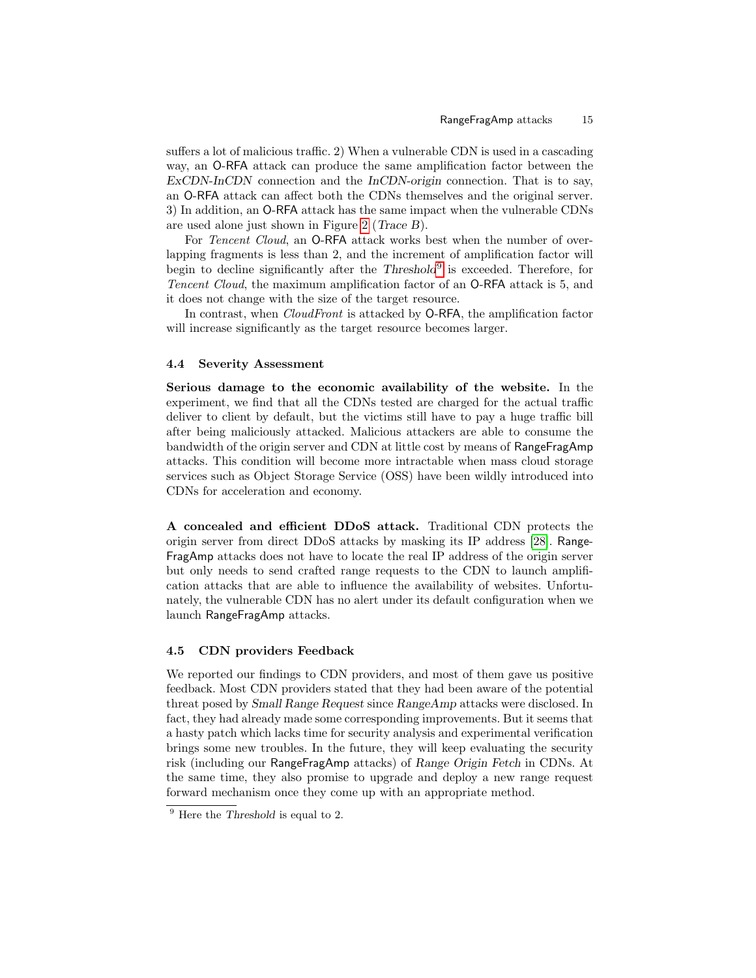suffers a lot of malicious traffic. 2) When a vulnerable CDN is used in a cascading way, an O-RFA attack can produce the same amplification factor between the ExCDN-InCDN connection and the InCDN-origin connection. That is to say, an O-RFA attack can affect both the CDNs themselves and the original server. 3) In addition, an O-RFA attack has the same impact when the vulnerable CDNs are used alone just shown in Figure [2](#page-7-1) (Trace B).

For *Tencent Cloud*, an **O-RFA** attack works best when the number of overlapping fragments is less than 2, and the increment of amplification factor will begin to decline significantly after the Threshold<sup>[9](#page-14-0)</sup> is exceeded. Therefore, for Tencent Cloud, the maximum amplification factor of an O-RFA attack is 5, and it does not change with the size of the target resource.

In contrast, when *CloudFront* is attacked by **O-RFA**, the amplification factor will increase significantly as the target resource becomes larger.

#### 4.4 Severity Assessment

Serious damage to the economic availability of the website. In the experiment, we find that all the CDNs tested are charged for the actual traffic deliver to client by default, but the victims still have to pay a huge traffic bill after being maliciously attacked. Malicious attackers are able to consume the bandwidth of the origin server and CDN at little cost by means of RangeFragAmp attacks. This condition will become more intractable when mass cloud storage services such as Object Storage Service (OSS) have been wildly introduced into CDNs for acceleration and economy.

A concealed and efficient DDoS attack. Traditional CDN protects the origin server from direct DDoS attacks by masking its IP address [\[28\]](#page-20-2). Range-FragAmp attacks does not have to locate the real IP address of the origin server but only needs to send crafted range requests to the CDN to launch amplification attacks that are able to influence the availability of websites. Unfortunately, the vulnerable CDN has no alert under its default configuration when we launch RangeFragAmp attacks.

## 4.5 CDN providers Feedback

We reported our findings to CDN providers, and most of them gave us positive feedback. Most CDN providers stated that they had been aware of the potential threat posed by Small Range Request since RangeAmp attacks were disclosed. In fact, they had already made some corresponding improvements. But it seems that a hasty patch which lacks time for security analysis and experimental verification brings some new troubles. In the future, they will keep evaluating the security risk (including our RangeFragAmp attacks) of Range Origin Fetch in CDNs. At the same time, they also promise to upgrade and deploy a new range request forward mechanism once they come up with an appropriate method.

<span id="page-14-0"></span><sup>&</sup>lt;sup>9</sup> Here the *Threshold* is equal to 2.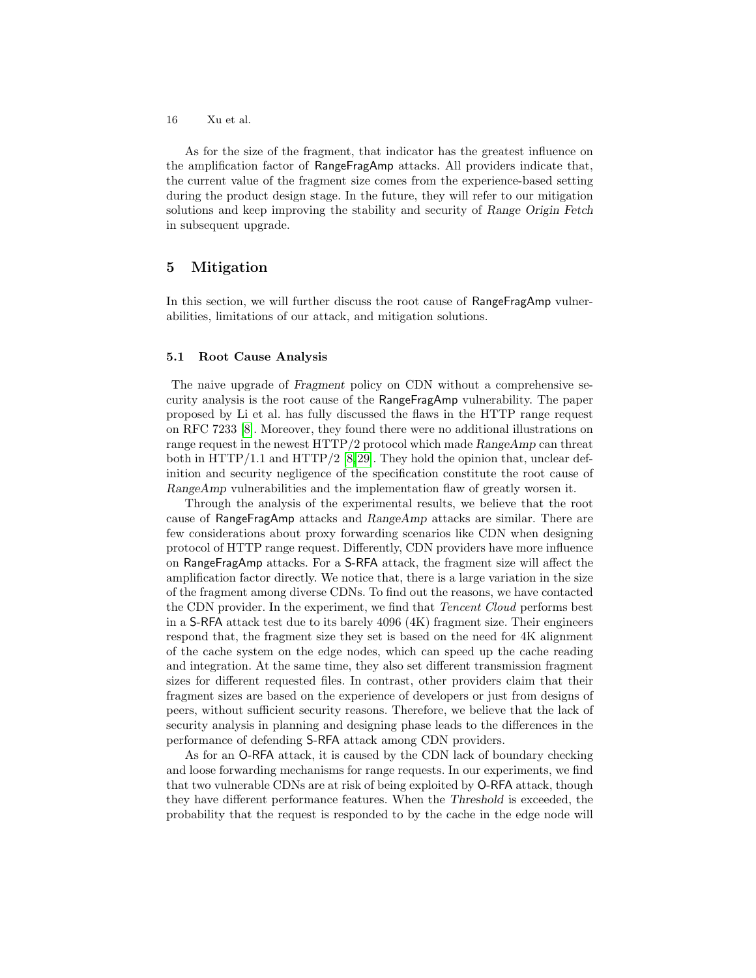As for the size of the fragment, that indicator has the greatest influence on the amplification factor of RangeFragAmp attacks. All providers indicate that, the current value of the fragment size comes from the experience-based setting during the product design stage. In the future, they will refer to our mitigation solutions and keep improving the stability and security of Range Origin Fetch in subsequent upgrade.

# 5 Mitigation

In this section, we will further discuss the root cause of RangeFragAmp vulnerabilities, limitations of our attack, and mitigation solutions.

#### 5.1 Root Cause Analysis

The naive upgrade of Fragment policy on CDN without a comprehensive security analysis is the root cause of the RangeFragAmp vulnerability. The paper proposed by Li et al. has fully discussed the flaws in the HTTP range request on RFC 7233 [\[8\]](#page-19-1). Moreover, they found there were no additional illustrations on range request in the newest HTTP/2 protocol which made RangeAmp can threat both in  $HTTP/1.1$  and  $HTTP/2$  [\[8,](#page-19-1)[29\]](#page-20-3). They hold the opinion that, unclear definition and security negligence of the specification constitute the root cause of RangeAmp vulnerabilities and the implementation flaw of greatly worsen it.

Through the analysis of the experimental results, we believe that the root cause of RangeFragAmp attacks and RangeAmp attacks are similar. There are few considerations about proxy forwarding scenarios like CDN when designing protocol of HTTP range request. Differently, CDN providers have more influence on RangeFragAmp attacks. For a S-RFA attack, the fragment size will affect the amplification factor directly. We notice that, there is a large variation in the size of the fragment among diverse CDNs. To find out the reasons, we have contacted the CDN provider. In the experiment, we find that Tencent Cloud performs best in a S-RFA attack test due to its barely 4096 (4K) fragment size. Their engineers respond that, the fragment size they set is based on the need for 4K alignment of the cache system on the edge nodes, which can speed up the cache reading and integration. At the same time, they also set different transmission fragment sizes for different requested files. In contrast, other providers claim that their fragment sizes are based on the experience of developers or just from designs of peers, without sufficient security reasons. Therefore, we believe that the lack of security analysis in planning and designing phase leads to the differences in the performance of defending S-RFA attack among CDN providers.

As for an O-RFA attack, it is caused by the CDN lack of boundary checking and loose forwarding mechanisms for range requests. In our experiments, we find that two vulnerable CDNs are at risk of being exploited by O-RFA attack, though they have different performance features. When the Threshold is exceeded, the probability that the request is responded to by the cache in the edge node will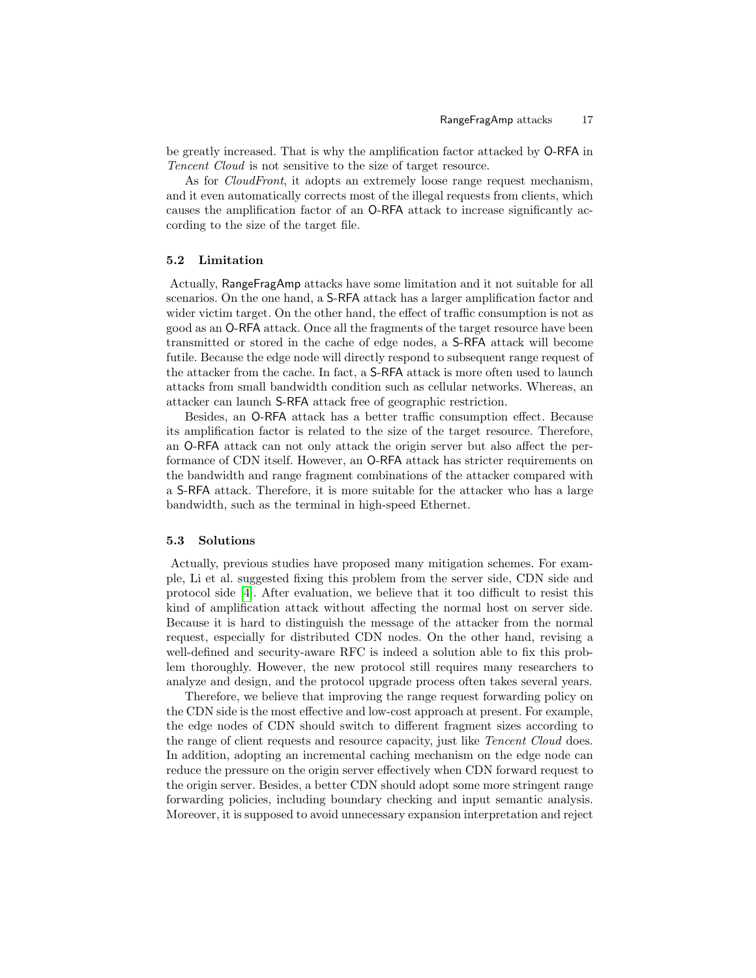be greatly increased. That is why the amplification factor attacked by O-RFA in Tencent Cloud is not sensitive to the size of target resource.

As for CloudFront, it adopts an extremely loose range request mechanism, and it even automatically corrects most of the illegal requests from clients, which causes the amplification factor of an O-RFA attack to increase significantly according to the size of the target file.

#### 5.2 Limitation

Actually, RangeFragAmp attacks have some limitation and it not suitable for all scenarios. On the one hand, a S-RFA attack has a larger amplification factor and wider victim target. On the other hand, the effect of traffic consumption is not as good as an O-RFA attack. Once all the fragments of the target resource have been transmitted or stored in the cache of edge nodes, a S-RFA attack will become futile. Because the edge node will directly respond to subsequent range request of the attacker from the cache. In fact, a S-RFA attack is more often used to launch attacks from small bandwidth condition such as cellular networks. Whereas, an attacker can launch S-RFA attack free of geographic restriction.

Besides, an O-RFA attack has a better traffic consumption effect. Because its amplification factor is related to the size of the target resource. Therefore, an O-RFA attack can not only attack the origin server but also affect the performance of CDN itself. However, an O-RFA attack has stricter requirements on the bandwidth and range fragment combinations of the attacker compared with a S-RFA attack. Therefore, it is more suitable for the attacker who has a large bandwidth, such as the terminal in high-speed Ethernet.

#### 5.3 Solutions

Actually, previous studies have proposed many mitigation schemes. For example, Li et al. suggested fixing this problem from the server side, CDN side and protocol side [\[4\]](#page-18-3). After evaluation, we believe that it too difficult to resist this kind of amplification attack without affecting the normal host on server side. Because it is hard to distinguish the message of the attacker from the normal request, especially for distributed CDN nodes. On the other hand, revising a well-defined and security-aware RFC is indeed a solution able to fix this problem thoroughly. However, the new protocol still requires many researchers to analyze and design, and the protocol upgrade process often takes several years.

Therefore, we believe that improving the range request forwarding policy on the CDN side is the most effective and low-cost approach at present. For example, the edge nodes of CDN should switch to different fragment sizes according to the range of client requests and resource capacity, just like *Tencent Cloud* does. In addition, adopting an incremental caching mechanism on the edge node can reduce the pressure on the origin server effectively when CDN forward request to the origin server. Besides, a better CDN should adopt some more stringent range forwarding policies, including boundary checking and input semantic analysis. Moreover, it is supposed to avoid unnecessary expansion interpretation and reject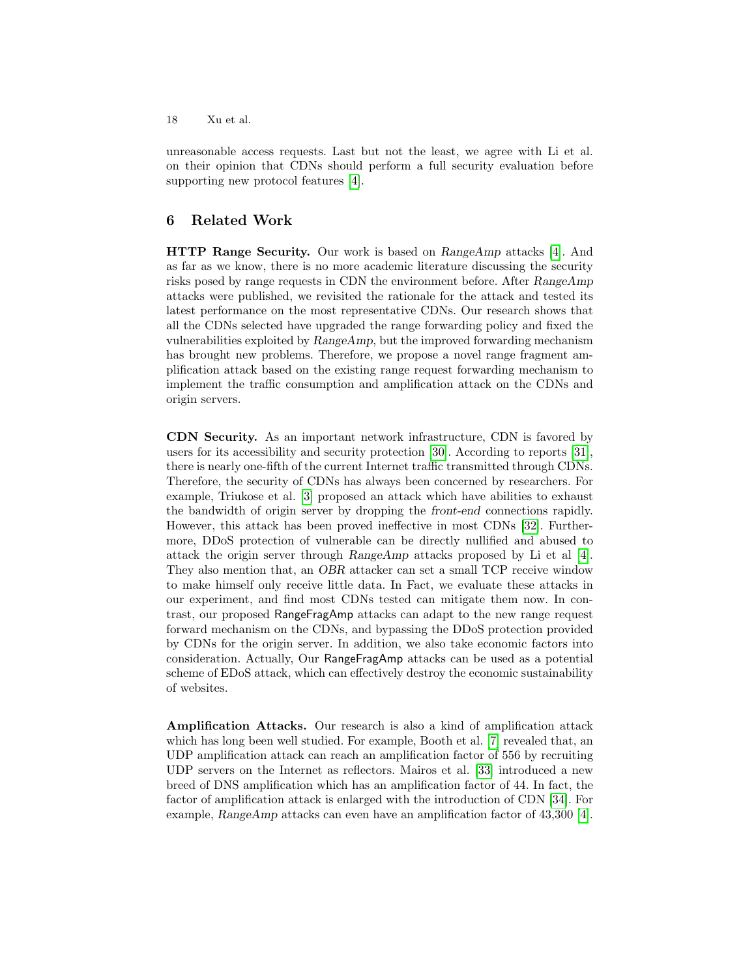unreasonable access requests. Last but not the least, we agree with Li et al. on their opinion that CDNs should perform a full security evaluation before supporting new protocol features [\[4\]](#page-18-3).

## 6 Related Work

HTTP Range Security. Our work is based on RangeAmp attacks [\[4\]](#page-18-3). And as far as we know, there is no more academic literature discussing the security risks posed by range requests in CDN the environment before. After RangeAmp attacks were published, we revisited the rationale for the attack and tested its latest performance on the most representative CDNs. Our research shows that all the CDNs selected have upgraded the range forwarding policy and fixed the vulnerabilities exploited by RangeAmp, but the improved forwarding mechanism has brought new problems. Therefore, we propose a novel range fragment amplification attack based on the existing range request forwarding mechanism to implement the traffic consumption and amplification attack on the CDNs and origin servers.

CDN Security. As an important network infrastructure, CDN is favored by users for its accessibility and security protection [\[30\]](#page-20-4). According to reports [\[31\]](#page-20-5), there is nearly one-fifth of the current Internet traffic transmitted through CDNs. Therefore, the security of CDNs has always been concerned by researchers. For example, Triukose et al. [\[3\]](#page-18-2) proposed an attack which have abilities to exhaust the bandwidth of origin server by dropping the front-end connections rapidly. However, this attack has been proved ineffective in most CDNs [\[32\]](#page-20-6). Furthermore, DDoS protection of vulnerable can be directly nullified and abused to attack the origin server through RangeAmp attacks proposed by Li et al [\[4\]](#page-18-3). They also mention that, an OBR attacker can set a small TCP receive window to make himself only receive little data. In Fact, we evaluate these attacks in our experiment, and find most CDNs tested can mitigate them now. In contrast, our proposed RangeFragAmp attacks can adapt to the new range request forward mechanism on the CDNs, and bypassing the DDoS protection provided by CDNs for the origin server. In addition, we also take economic factors into consideration. Actually, Our RangeFragAmp attacks can be used as a potential scheme of EDoS attack, which can effectively destroy the economic sustainability of websites.

Amplification Attacks. Our research is also a kind of amplification attack which has long been well studied. For example, Booth et al. [\[7\]](#page-19-0) revealed that, an UDP amplification attack can reach an amplification factor of 556 by recruiting UDP servers on the Internet as reflectors. Mairos et al. [\[33\]](#page-20-7) introduced a new breed of DNS amplification which has an amplification factor of 44. In fact, the factor of amplification attack is enlarged with the introduction of CDN [\[34\]](#page-20-8). For example, RangeAmp attacks can even have an amplification factor of 43,300 [\[4\]](#page-18-3).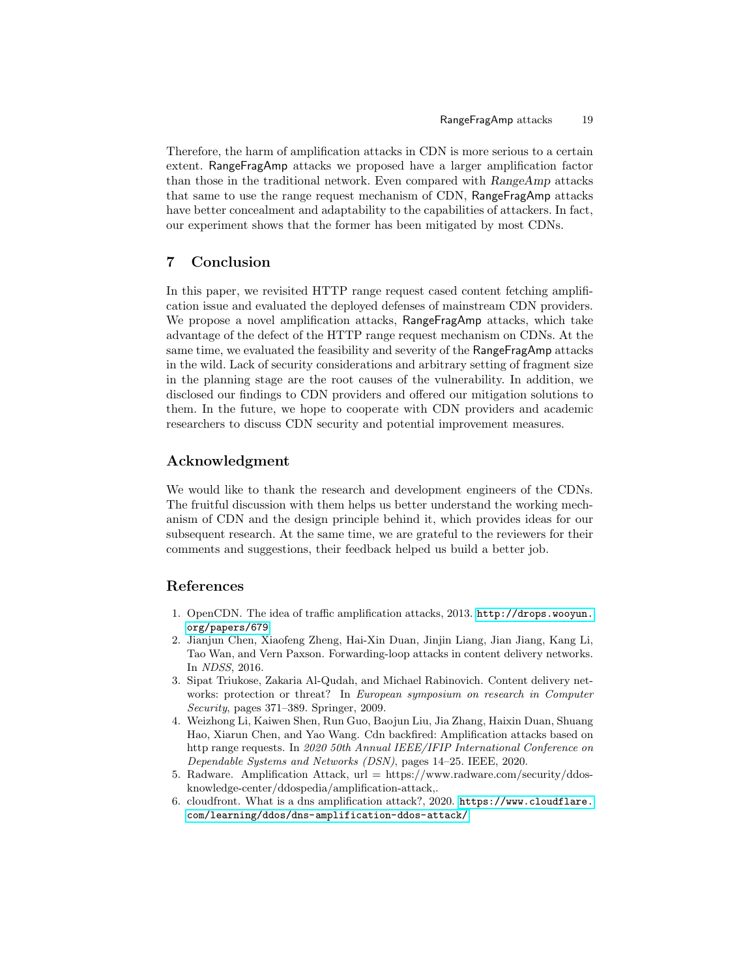Therefore, the harm of amplification attacks in CDN is more serious to a certain extent. RangeFragAmp attacks we proposed have a larger amplification factor than those in the traditional network. Even compared with RangeAmp attacks that same to use the range request mechanism of CDN, RangeFragAmp attacks have better concealment and adaptability to the capabilities of attackers. In fact, our experiment shows that the former has been mitigated by most CDNs.

# 7 Conclusion

In this paper, we revisited HTTP range request cased content fetching amplification issue and evaluated the deployed defenses of mainstream CDN providers. We propose a novel amplification attacks, RangeFragAmp attacks, which take advantage of the defect of the HTTP range request mechanism on CDNs. At the same time, we evaluated the feasibility and severity of the RangeFragAmp attacks in the wild. Lack of security considerations and arbitrary setting of fragment size in the planning stage are the root causes of the vulnerability. In addition, we disclosed our findings to CDN providers and offered our mitigation solutions to them. In the future, we hope to cooperate with CDN providers and academic researchers to discuss CDN security and potential improvement measures.

# Acknowledgment

We would like to thank the research and development engineers of the CDNs. The fruitful discussion with them helps us better understand the working mechanism of CDN and the design principle behind it, which provides ideas for our subsequent research. At the same time, we are grateful to the reviewers for their comments and suggestions, their feedback helped us build a better job.

## References

- <span id="page-18-0"></span>1. OpenCDN. The idea of traffic amplification attacks, 2013. [http://drops.wooyun.](http://drops.wooyun.org/papers/679) [org/papers/679](http://drops.wooyun.org/papers/679).
- <span id="page-18-1"></span>2. Jianjun Chen, Xiaofeng Zheng, Hai-Xin Duan, Jinjin Liang, Jian Jiang, Kang Li, Tao Wan, and Vern Paxson. Forwarding-loop attacks in content delivery networks. In NDSS, 2016.
- <span id="page-18-2"></span>3. Sipat Triukose, Zakaria Al-Qudah, and Michael Rabinovich. Content delivery networks: protection or threat? In European symposium on research in Computer Security, pages 371–389. Springer, 2009.
- <span id="page-18-3"></span>4. Weizhong Li, Kaiwen Shen, Run Guo, Baojun Liu, Jia Zhang, Haixin Duan, Shuang Hao, Xiarun Chen, and Yao Wang. Cdn backfired: Amplification attacks based on http range requests. In 2020 50th Annual IEEE/IFIP International Conference on Dependable Systems and Networks (DSN), pages 14–25. IEEE, 2020.
- <span id="page-18-4"></span>5. Radware. Amplification Attack, url = https://www.radware.com/security/ddosknowledge-center/ddospedia/amplification-attack,.
- <span id="page-18-5"></span>6. cloudfront. What is a dns amplification attack?, 2020. [https://www.cloudflare.](https://www.cloudflare.com/learning/ddos/dns-amplification-ddos-attack/) [com/learning/ddos/dns-amplification-ddos-attack/](https://www.cloudflare.com/learning/ddos/dns-amplification-ddos-attack/).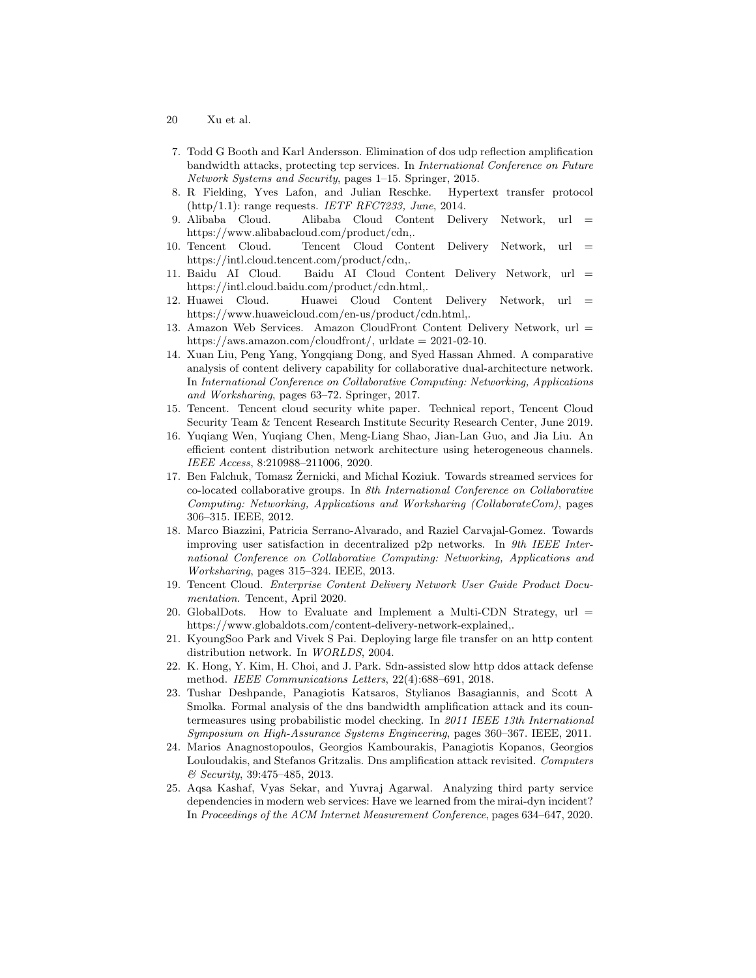- 20 Xu et al.
- <span id="page-19-0"></span>7. Todd G Booth and Karl Andersson. Elimination of dos udp reflection amplification bandwidth attacks, protecting tcp services. In International Conference on Future Network Systems and Security, pages 1–15. Springer, 2015.
- <span id="page-19-1"></span>8. R Fielding, Yves Lafon, and Julian Reschke. Hypertext transfer protocol  $(\text{http/1.1}):$  range requests. IETF RFC7233, June, 2014.
- <span id="page-19-2"></span>9. Alibaba Cloud. Alibaba Cloud Content Delivery Network, url = https://www.alibabacloud.com/product/cdn,.
- <span id="page-19-3"></span>10. Tencent Cloud. Tencent Cloud Content Delivery Network, url = https://intl.cloud.tencent.com/product/cdn,.
- <span id="page-19-4"></span>11. Baidu AI Cloud. Baidu AI Cloud Content Delivery Network, url = https://intl.cloud.baidu.com/product/cdn.html,.
- <span id="page-19-5"></span>12. Huawei Cloud. Huawei Cloud Content Delivery Network, url = https://www.huaweicloud.com/en-us/product/cdn.html,.
- <span id="page-19-6"></span>13. Amazon Web Services. Amazon CloudFront Content Delivery Network, url = https://aws.amazon.com/cloudfront/, urldate  $= 2021-02-10$ .
- <span id="page-19-7"></span>14. Xuan Liu, Peng Yang, Yongqiang Dong, and Syed Hassan Ahmed. A comparative analysis of content delivery capability for collaborative dual-architecture network. In International Conference on Collaborative Computing: Networking, Applications and Worksharing, pages 63–72. Springer, 2017.
- <span id="page-19-8"></span>15. Tencent. Tencent cloud security white paper. Technical report, Tencent Cloud Security Team & Tencent Research Institute Security Research Center, June 2019.
- <span id="page-19-9"></span>16. Yuqiang Wen, Yuqiang Chen, Meng-Liang Shao, Jian-Lan Guo, and Jia Liu. An efficient content distribution network architecture using heterogeneous channels. IEEE Access, 8:210988–211006, 2020.
- <span id="page-19-10"></span>17. Ben Falchuk, Tomasz Zernicki, and Michal Koziuk. Towards streamed services for ˙ co-located collaborative groups. In 8th International Conference on Collaborative Computing: Networking, Applications and Worksharing (CollaborateCom), pages 306–315. IEEE, 2012.
- <span id="page-19-11"></span>18. Marco Biazzini, Patricia Serrano-Alvarado, and Raziel Carvajal-Gomez. Towards improving user satisfaction in decentralized p2p networks. In 9th IEEE International Conference on Collaborative Computing: Networking, Applications and Worksharing, pages 315–324. IEEE, 2013.
- <span id="page-19-12"></span>19. Tencent Cloud. Enterprise Content Delivery Network User Guide Product Documentation. Tencent, April 2020.
- <span id="page-19-13"></span>20. GlobalDots. How to Evaluate and Implement a Multi-CDN Strategy,  $url =$ https://www.globaldots.com/content-delivery-network-explained,.
- <span id="page-19-14"></span>21. KyoungSoo Park and Vivek S Pai. Deploying large file transfer on an http content distribution network. In WORLDS, 2004.
- <span id="page-19-15"></span>22. K. Hong, Y. Kim, H. Choi, and J. Park. Sdn-assisted slow http ddos attack defense method. IEEE Communications Letters, 22(4):688–691, 2018.
- <span id="page-19-16"></span>23. Tushar Deshpande, Panagiotis Katsaros, Stylianos Basagiannis, and Scott A Smolka. Formal analysis of the dns bandwidth amplification attack and its countermeasures using probabilistic model checking. In 2011 IEEE 13th International Symposium on High-Assurance Systems Engineering, pages 360–367. IEEE, 2011.
- <span id="page-19-17"></span>24. Marios Anagnostopoulos, Georgios Kambourakis, Panagiotis Kopanos, Georgios Louloudakis, and Stefanos Gritzalis. Dns amplification attack revisited. Computers & Security, 39:475–485, 2013.
- <span id="page-19-18"></span>25. Aqsa Kashaf, Vyas Sekar, and Yuvraj Agarwal. Analyzing third party service dependencies in modern web services: Have we learned from the mirai-dyn incident? In Proceedings of the ACM Internet Measurement Conference, pages 634–647, 2020.